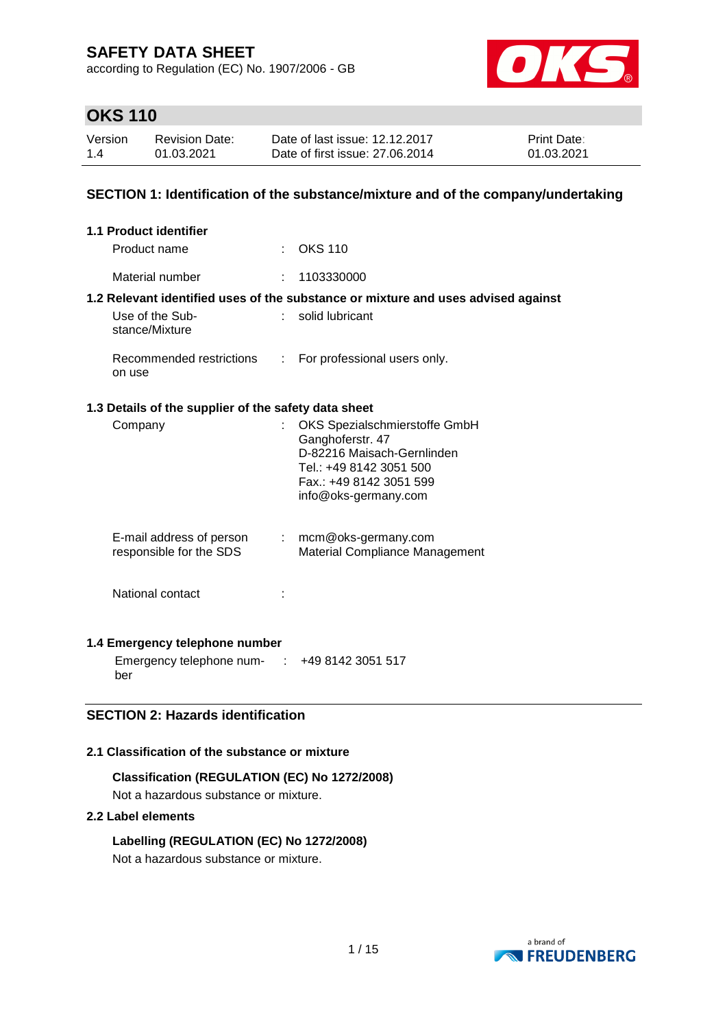according to Regulation (EC) No. 1907/2006 - GB



# **OKS 110**

| Version | <b>Revision Date:</b> | Date of last issue: 12.12.2017  | <b>Print Date:</b> |
|---------|-----------------------|---------------------------------|--------------------|
| 1.4     | 01.03.2021            | Date of first issue: 27,06,2014 | 01.03.2021         |

### **SECTION 1: Identification of the substance/mixture and of the company/undertaking**

| 1.1 Product identifier                               |                           |                                                                                                                                                              |
|------------------------------------------------------|---------------------------|--------------------------------------------------------------------------------------------------------------------------------------------------------------|
| Product name                                         |                           | $\therefore$ OKS 110                                                                                                                                         |
| Material number                                      |                           | 1103330000                                                                                                                                                   |
|                                                      |                           | 1.2 Relevant identified uses of the substance or mixture and uses advised against                                                                            |
| Use of the Sub-<br>stance/Mixture                    |                           | solid lubricant                                                                                                                                              |
| Recommended restrictions<br>on use                   | t.                        | For professional users only.                                                                                                                                 |
| 1.3 Details of the supplier of the safety data sheet |                           |                                                                                                                                                              |
| Company                                              |                           | OKS Spezialschmierstoffe GmbH<br>Ganghoferstr. 47<br>D-82216 Maisach-Gernlinden<br>Tel.: +49 8142 3051 500<br>Fax: +49 8142 3051 599<br>info@oks-germany.com |
| E-mail address of person<br>responsible for the SDS  | $\mathbb{Z}^{\mathbb{Z}}$ | mcm@oks-germany.com<br>Material Compliance Management                                                                                                        |
| National contact                                     |                           |                                                                                                                                                              |

### **1.4 Emergency telephone number**

Emergency telephone num-: +49 8142 3051 517 ber

## **SECTION 2: Hazards identification**

### **2.1 Classification of the substance or mixture**

**Classification (REGULATION (EC) No 1272/2008)** Not a hazardous substance or mixture.

### **2.2 Label elements**

**Labelling (REGULATION (EC) No 1272/2008)** Not a hazardous substance or mixture.

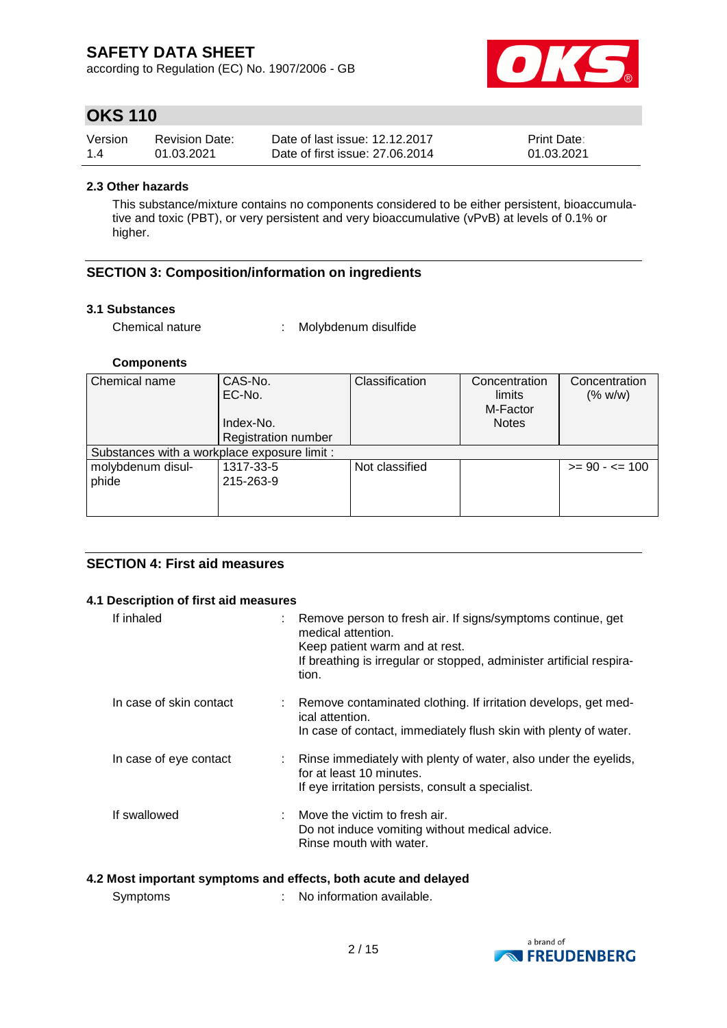according to Regulation (EC) No. 1907/2006 - GB



# **OKS 110**

| Version | <b>Revision Date:</b> | Date of last issue: 12.12.2017  | <b>Print Date:</b> |
|---------|-----------------------|---------------------------------|--------------------|
| 1.4     | 01.03.2021            | Date of first issue: 27,06,2014 | 01.03.2021         |

### **2.3 Other hazards**

This substance/mixture contains no components considered to be either persistent, bioaccumulative and toxic (PBT), or very persistent and very bioaccumulative (vPvB) at levels of 0.1% or higher.

### **SECTION 3: Composition/information on ingredients**

### **3.1 Substances**

Chemical nature : Molybdenum disulfide

### **Components**

|                                              |                            | <b>Notes</b> |                   |
|----------------------------------------------|----------------------------|--------------|-------------------|
| Index-No.                                    |                            |              |                   |
| Substances with a workplace exposure limit : |                            |              |                   |
| 1317-33-5                                    | Not classified             |              | $>= 90 - 5 = 100$ |
| 215-263-9                                    |                            |              |                   |
|                                              |                            |              |                   |
|                                              | <b>Registration number</b> |              |                   |

### **SECTION 4: First aid measures**

### **4.1 Description of first aid measures**

| If inhaled              | : Remove person to fresh air. If signs/symptoms continue, get<br>medical attention.<br>Keep patient warm and at rest.<br>If breathing is irregular or stopped, administer artificial respira-<br>tion. |
|-------------------------|--------------------------------------------------------------------------------------------------------------------------------------------------------------------------------------------------------|
| In case of skin contact | : Remove contaminated clothing. If irritation develops, get med-<br>ical attention.<br>In case of contact, immediately flush skin with plenty of water.                                                |
| In case of eye contact  | : Rinse immediately with plenty of water, also under the eyelids,<br>for at least 10 minutes.<br>If eye irritation persists, consult a specialist.                                                     |
| If swallowed            | $\therefore$ Move the victim to fresh air.<br>Do not induce vomiting without medical advice.<br>Rinse mouth with water.                                                                                |

### **4.2 Most important symptoms and effects, both acute and delayed**

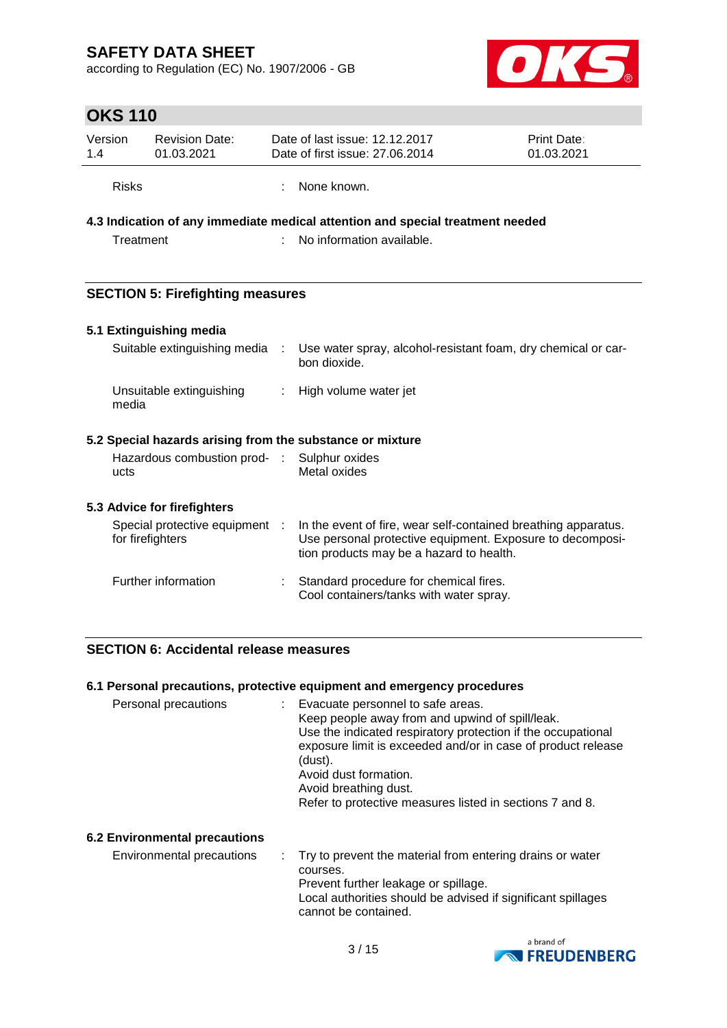according to Regulation (EC) No. 1907/2006 - GB



# **OKS 110**

| Version      | <b>Revision Date:</b> | Date of last issue: 12.12.2017  | <b>Print Date:</b> |
|--------------|-----------------------|---------------------------------|--------------------|
| 1.4          | 01.03.2021            | Date of first issue: 27.06.2014 | 01.03.2021         |
| <b>Risks</b> |                       | None known.                     |                    |

## **4.3 Indication of any immediate medical attention and special treatment needed**

Treatment : No information available.

## **SECTION 5: Firefighting measures**

# **5.1 Extinguishing media**

|                                                           | Suitable extinguishing media : Use water spray, alcohol-resistant foam, dry chemical or car-<br>bon dioxide.                                                            |
|-----------------------------------------------------------|-------------------------------------------------------------------------------------------------------------------------------------------------------------------------|
| Unsuitable extinguishing<br>media                         | : High volume water jet                                                                                                                                                 |
| 5.2 Special hazards arising from the substance or mixture |                                                                                                                                                                         |
| Hazardous combustion prod- : Sulphur oxides<br>ucts       | Metal oxides                                                                                                                                                            |
| 5.3 Advice for firefighters                               |                                                                                                                                                                         |
| Special protective equipment :<br>for firefighters        | In the event of fire, wear self-contained breathing apparatus.<br>Use personal protective equipment. Exposure to decomposi-<br>tion products may be a hazard to health. |

| Further information | Standard procedure for chemical fires.  |
|---------------------|-----------------------------------------|
|                     | Cool containers/tanks with water spray. |

### **SECTION 6: Accidental release measures**

### **6.1 Personal precautions, protective equipment and emergency procedures**

| Refer to protective measures listed in sections 7 and 8. |
|----------------------------------------------------------|
|----------------------------------------------------------|

### **6.2 Environmental precautions**

Environmental precautions : Try to prevent the material from entering drains or water courses. Prevent further leakage or spillage. Local authorities should be advised if significant spillages cannot be contained.

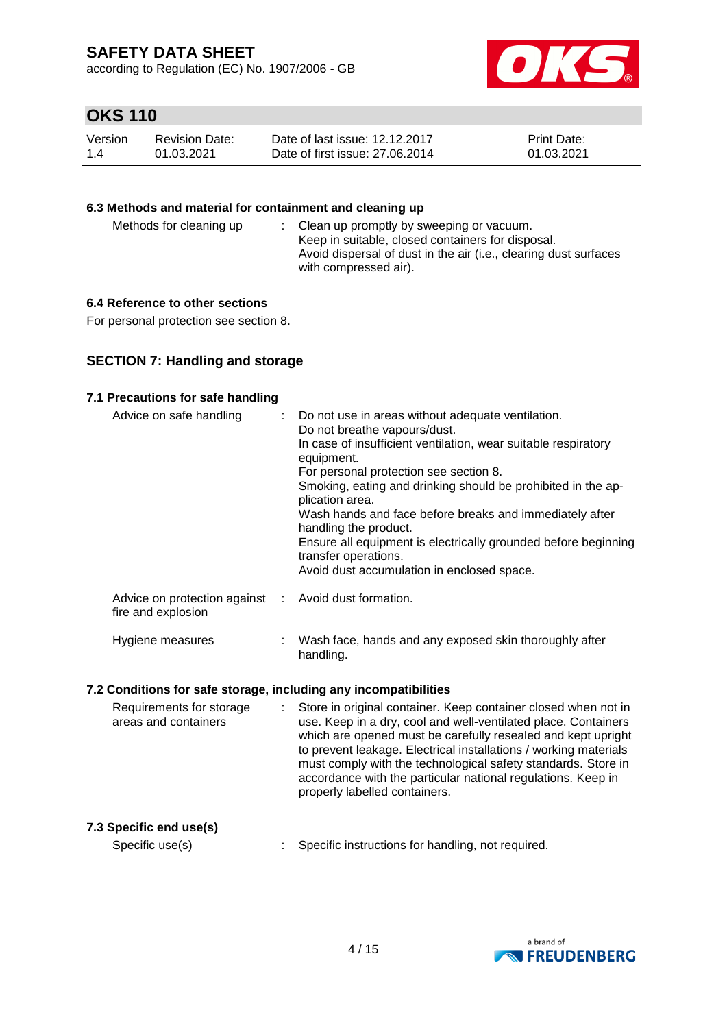according to Regulation (EC) No. 1907/2006 - GB



# **OKS 110**

| Version | Revision Date: | Date of last issue: 12.12.2017  | <b>Print Date:</b> |
|---------|----------------|---------------------------------|--------------------|
| 1.4     | 01.03.2021     | Date of first issue: 27,06,2014 | 01.03.2021         |

### **6.3 Methods and material for containment and cleaning up**

| Methods for cleaning up |  | : Clean up promptly by sweeping or vacuum.<br>Keep in suitable, closed containers for disposal.<br>Avoid dispersal of dust in the air (i.e., clearing dust surfaces<br>with compressed air). |
|-------------------------|--|----------------------------------------------------------------------------------------------------------------------------------------------------------------------------------------------|
|-------------------------|--|----------------------------------------------------------------------------------------------------------------------------------------------------------------------------------------------|

## **6.4 Reference to other sections**

For personal protection see section 8.

### **SECTION 7: Handling and storage**

### **7.1 Precautions for safe handling**

| Advice on safe handling                                                    | : Do not use in areas without adequate ventilation.<br>Do not breathe vapours/dust.<br>In case of insufficient ventilation, wear suitable respiratory<br>equipment.<br>For personal protection see section 8.<br>Smoking, eating and drinking should be prohibited in the ap-<br>plication area.<br>Wash hands and face before breaks and immediately after<br>handling the product.<br>Ensure all equipment is electrically grounded before beginning<br>transfer operations.<br>Avoid dust accumulation in enclosed space. |
|----------------------------------------------------------------------------|------------------------------------------------------------------------------------------------------------------------------------------------------------------------------------------------------------------------------------------------------------------------------------------------------------------------------------------------------------------------------------------------------------------------------------------------------------------------------------------------------------------------------|
| Advice on protection against : Avoid dust formation.<br>fire and explosion |                                                                                                                                                                                                                                                                                                                                                                                                                                                                                                                              |
| Hygiene measures                                                           | Wash face, hands and any exposed skin thoroughly after                                                                                                                                                                                                                                                                                                                                                                                                                                                                       |

### **7.2 Conditions for safe storage, including any incompatibilities**

| Requirements for storage<br>areas and containers |  | Store in original container. Keep container closed when not in<br>use. Keep in a dry, cool and well-ventilated place. Containers<br>which are opened must be carefully resealed and kept upright<br>to prevent leakage. Electrical installations / working materials<br>must comply with the technological safety standards. Store in<br>accordance with the particular national regulations. Keep in<br>properly labelled containers. |
|--------------------------------------------------|--|----------------------------------------------------------------------------------------------------------------------------------------------------------------------------------------------------------------------------------------------------------------------------------------------------------------------------------------------------------------------------------------------------------------------------------------|
|--------------------------------------------------|--|----------------------------------------------------------------------------------------------------------------------------------------------------------------------------------------------------------------------------------------------------------------------------------------------------------------------------------------------------------------------------------------------------------------------------------------|

handling.

### **7.3 Specific end use(s)**

Specific use(s) : Specific instructions for handling, not required.

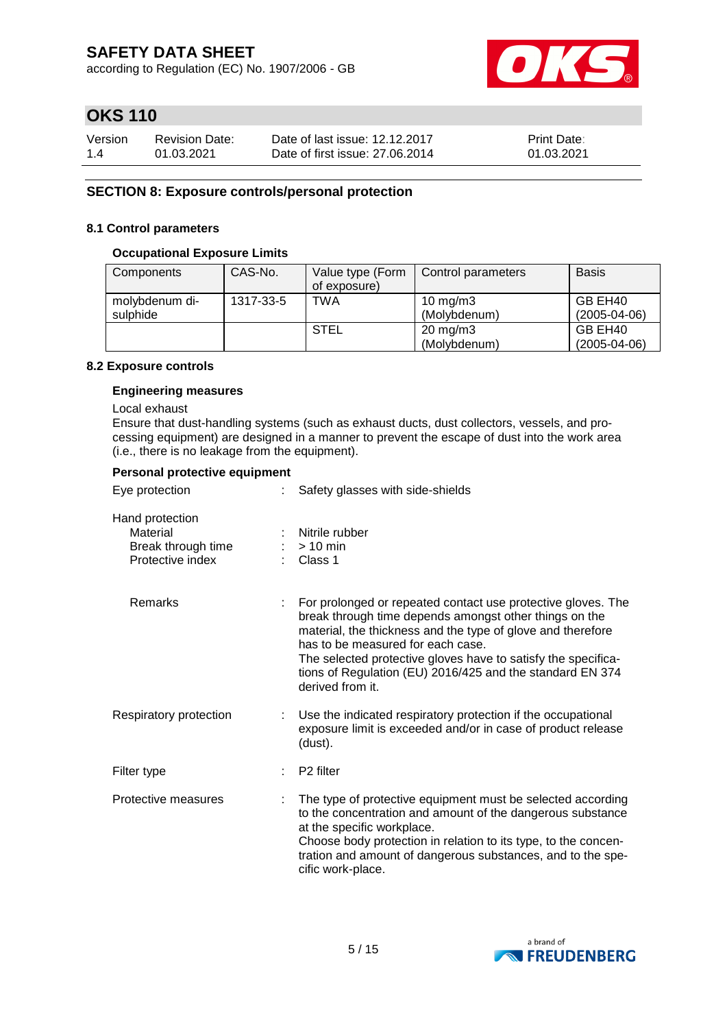according to Regulation (EC) No. 1907/2006 - GB



# **OKS 110**

| Version | Revision Date: | Date of last issue: 12.12.2017  | <b>Print Date:</b> |
|---------|----------------|---------------------------------|--------------------|
| 1.4     | 01.03.2021     | Date of first issue: 27,06,2014 | 01.03.2021         |

### **SECTION 8: Exposure controls/personal protection**

### **8.1 Control parameters**

### **Occupational Exposure Limits**

| Components     | CAS-No.   | Value type (Form | Control parameters | <b>Basis</b>       |
|----------------|-----------|------------------|--------------------|--------------------|
|                |           | of exposure)     |                    |                    |
| molybdenum di- | 1317-33-5 | TWA              | 10 mg/m $3$        | GB EH40            |
| sulphide       |           |                  | (Molybdenum)       | $(2005 - 04 - 06)$ |
|                |           | STEL             | $20 \text{ mg/m}$  | GB EH40            |
|                |           |                  | (Molybdenum)       | $(2005 - 04 - 06)$ |

### **8.2 Exposure controls**

### **Engineering measures**

Local exhaust

Ensure that dust-handling systems (such as exhaust ducts, dust collectors, vessels, and processing equipment) are designed in a manner to prevent the escape of dust into the work area (i.e., there is no leakage from the equipment).

#### **Personal protective equipment**

| Eye protection                                                        |   | Safety glasses with side-shields                                                                                                                                                                                                                                                                                                                                             |
|-----------------------------------------------------------------------|---|------------------------------------------------------------------------------------------------------------------------------------------------------------------------------------------------------------------------------------------------------------------------------------------------------------------------------------------------------------------------------|
| Hand protection<br>Material<br>Break through time<br>Protective index |   | Nitrile rubber<br>$>10$ min<br>$\therefore$ Class 1                                                                                                                                                                                                                                                                                                                          |
| <b>Remarks</b>                                                        |   | For prolonged or repeated contact use protective gloves. The<br>break through time depends amongst other things on the<br>material, the thickness and the type of glove and therefore<br>has to be measured for each case.<br>The selected protective gloves have to satisfy the specifica-<br>tions of Regulation (EU) 2016/425 and the standard EN 374<br>derived from it. |
| Respiratory protection                                                | ÷ | Use the indicated respiratory protection if the occupational<br>exposure limit is exceeded and/or in case of product release<br>(dust).                                                                                                                                                                                                                                      |
| Filter type                                                           |   | P <sub>2</sub> filter                                                                                                                                                                                                                                                                                                                                                        |
| Protective measures                                                   |   | The type of protective equipment must be selected according<br>to the concentration and amount of the dangerous substance<br>at the specific workplace.<br>Choose body protection in relation to its type, to the concen-<br>tration and amount of dangerous substances, and to the spe-<br>cific work-place.                                                                |

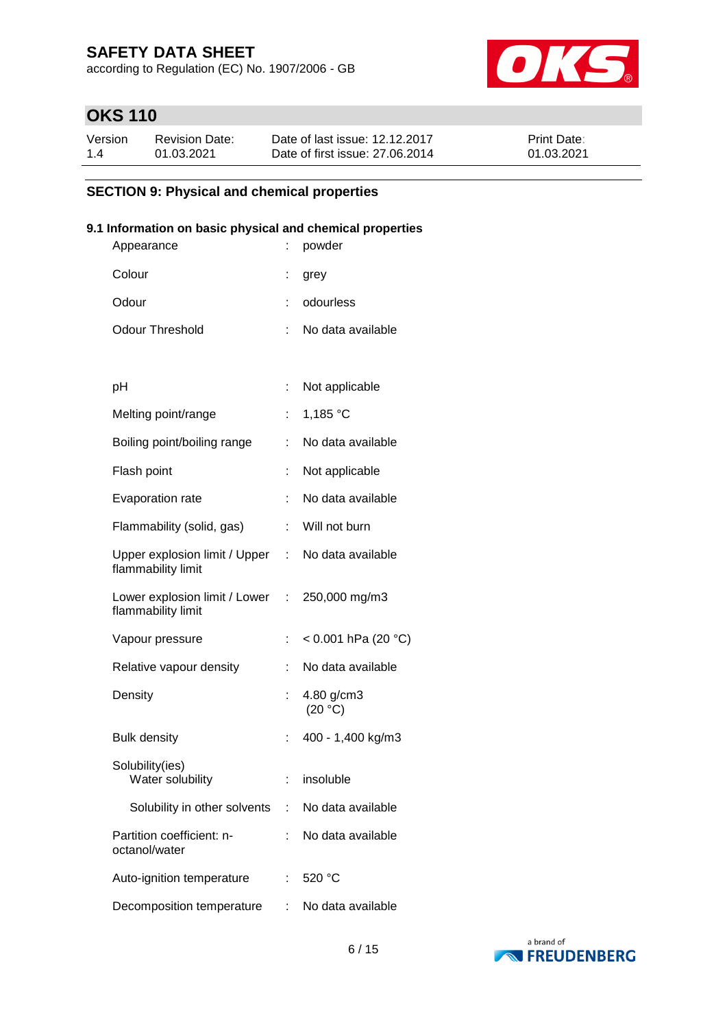according to Regulation (EC) No. 1907/2006 - GB



# **OKS 110**

| Version | <b>Revision Date:</b> | Date of last issue: 12.12.2017  | <b>Print Date:</b> |
|---------|-----------------------|---------------------------------|--------------------|
| 1.4     | 01.03.2021            | Date of first issue: 27,06,2014 | 01.03.2021         |

## **SECTION 9: Physical and chemical properties**

### **9.1 Information on basic physical and chemical properties**

| Appearance                                            |    | powder                |
|-------------------------------------------------------|----|-----------------------|
| Colour                                                |    | grey                  |
| Odour                                                 |    | odourless             |
| <b>Odour Threshold</b>                                | ÷  | No data available     |
|                                                       |    |                       |
| рH                                                    | t  | Not applicable        |
| Melting point/range                                   | t  | 1,185 °C              |
| Boiling point/boiling range                           |    | No data available     |
| Flash point                                           | t  | Not applicable        |
| Evaporation rate                                      | ÷  | No data available     |
| Flammability (solid, gas)                             | ÷  | Will not burn         |
| Upper explosion limit / Upper :<br>flammability limit |    | No data available     |
| Lower explosion limit / Lower :<br>flammability limit |    | 250,000 mg/m3         |
| Vapour pressure                                       | ÷  | < 0.001 hPa (20 °C)   |
| Relative vapour density                               | t. | No data available     |
| Density                                               |    | 4.80 g/cm3<br>(20 °C) |
| <b>Bulk density</b>                                   |    | 400 - 1,400 kg/m3     |
| Solubility(ies)<br>Water solubility                   | t. | insoluble             |
| Solubility in other solvents :                        |    | No data available     |
| Partition coefficient: n-<br>octanol/water            |    | No data available     |
| Auto-ignition temperature                             | ÷  | 520 °C                |
| Decomposition temperature                             |    | No data available     |

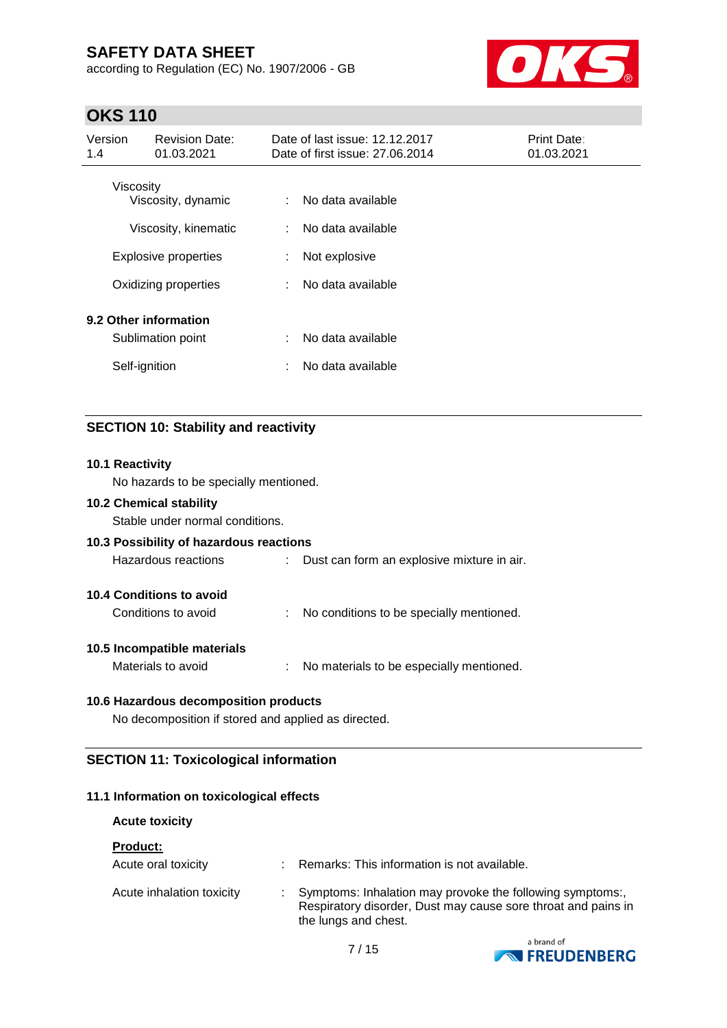according to Regulation (EC) No. 1907/2006 - GB



# **OKS 110**

| Version<br>1.4 | <b>Revision Date:</b><br>01.03.2021                 |        | Date of last issue: 12.12.2017<br>Date of first issue: 27,06,2014 | <b>Print Date:</b><br>01.03.2021 |
|----------------|-----------------------------------------------------|--------|-------------------------------------------------------------------|----------------------------------|
|                | Viscosity<br>Viscosity, dynamic                     | ÷      | No data available                                                 |                                  |
|                | Viscosity, kinematic<br><b>Explosive properties</b> | ÷<br>÷ | No data available<br>Not explosive                                |                                  |
|                | Oxidizing properties                                | ÷      | No data available                                                 |                                  |
|                | 9.2 Other information<br>Sublimation point          | ÷      | No data available                                                 |                                  |
|                | Self-ignition                                       | ÷      | No data available                                                 |                                  |

## **SECTION 10: Stability and reactivity**

# **10.1 Reactivity** No hazards to be specially mentioned. **10.2 Chemical stability** Stable under normal conditions. **10.3 Possibility of hazardous reactions** Hazardous reactions : Dust can form an explosive mixture in air. **10.4 Conditions to avoid** Conditions to avoid : No conditions to be specially mentioned. **10.5 Incompatible materials** Materials to avoid : No materials to be especially mentioned. **10.6 Hazardous decomposition products** No decomposition if stored and applied as directed.

## **SECTION 11: Toxicological information**

### **11.1 Information on toxicological effects**

### **Acute toxicity**

| <b>Product:</b>           |                                                                                                                                                   |
|---------------------------|---------------------------------------------------------------------------------------------------------------------------------------------------|
| Acute oral toxicity       | Remarks: This information is not available.                                                                                                       |
| Acute inhalation toxicity | Symptoms: Inhalation may provoke the following symptoms:<br>Respiratory disorder, Dust may cause sore throat and pains in<br>the lungs and chest. |

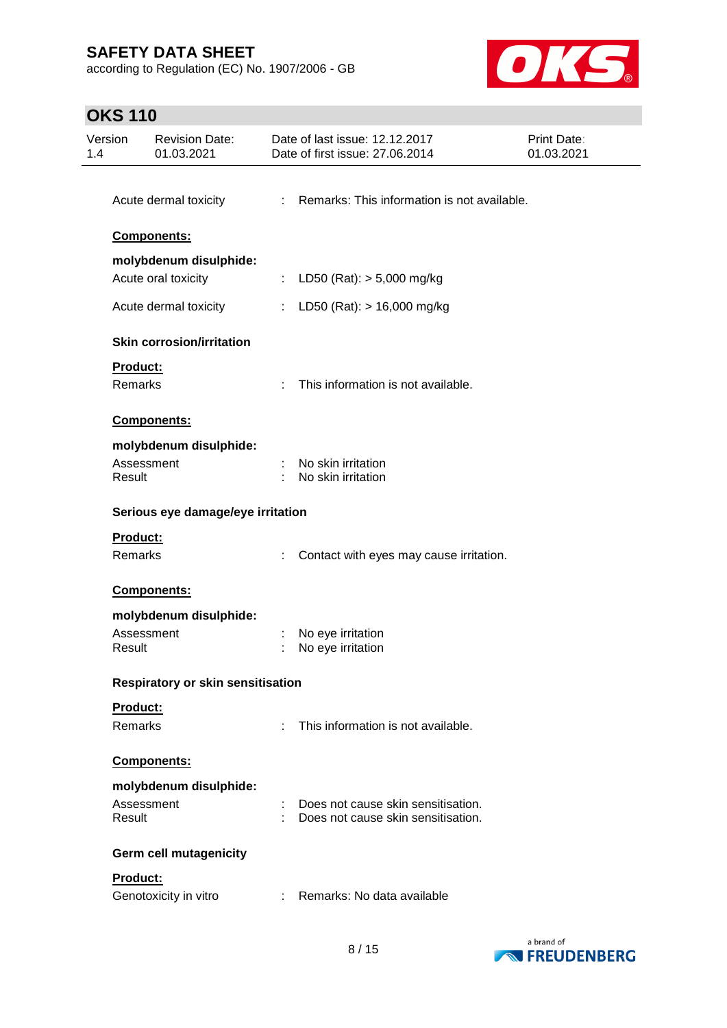according to Regulation (EC) No. 1907/2006 - GB



# **OKS 110**

| Version<br>1.4                    | <b>Revision Date:</b><br>01.03.2021 |    | Date of last issue: 12.12.2017<br>Date of first issue: 27.06.2014          | Print Date:<br>01.03.2021 |
|-----------------------------------|-------------------------------------|----|----------------------------------------------------------------------------|---------------------------|
|                                   | Acute dermal toxicity               |    | : Remarks: This information is not available.                              |                           |
|                                   | Components:                         |    |                                                                            |                           |
|                                   | molybdenum disulphide:              |    |                                                                            |                           |
|                                   | Acute oral toxicity                 |    | : LD50 (Rat): $> 5,000$ mg/kg                                              |                           |
|                                   | Acute dermal toxicity               |    | : LD50 (Rat): $> 16,000$ mg/kg                                             |                           |
|                                   | <b>Skin corrosion/irritation</b>    |    |                                                                            |                           |
| Product:<br><b>Remarks</b>        |                                     | t. | This information is not available.                                         |                           |
|                                   | <b>Components:</b>                  |    |                                                                            |                           |
|                                   | molybdenum disulphide:              |    |                                                                            |                           |
| Result                            | Assessment                          |    | No skin irritation<br>No skin irritation                                   |                           |
| Serious eye damage/eye irritation |                                     |    |                                                                            |                           |
| Product:<br>Remarks               |                                     |    | Contact with eyes may cause irritation.                                    |                           |
|                                   | Components:                         |    |                                                                            |                           |
|                                   | molybdenum disulphide:              |    |                                                                            |                           |
| Result                            | Assessment                          |    | No eye irritation<br>No eye irritation                                     |                           |
|                                   | Respiratory or skin sensitisation   |    |                                                                            |                           |
| Product:<br>Remarks               |                                     |    | This information is not available.                                         |                           |
|                                   | Components:                         |    |                                                                            |                           |
|                                   | molybdenum disulphide:              |    |                                                                            |                           |
| Result                            | Assessment                          |    | Does not cause skin sensitisation.<br>: Does not cause skin sensitisation. |                           |
|                                   | Germ cell mutagenicity              |    |                                                                            |                           |
| Product:                          | Genotoxicity in vitro               |    | : Remarks: No data available                                               |                           |
|                                   |                                     |    |                                                                            |                           |

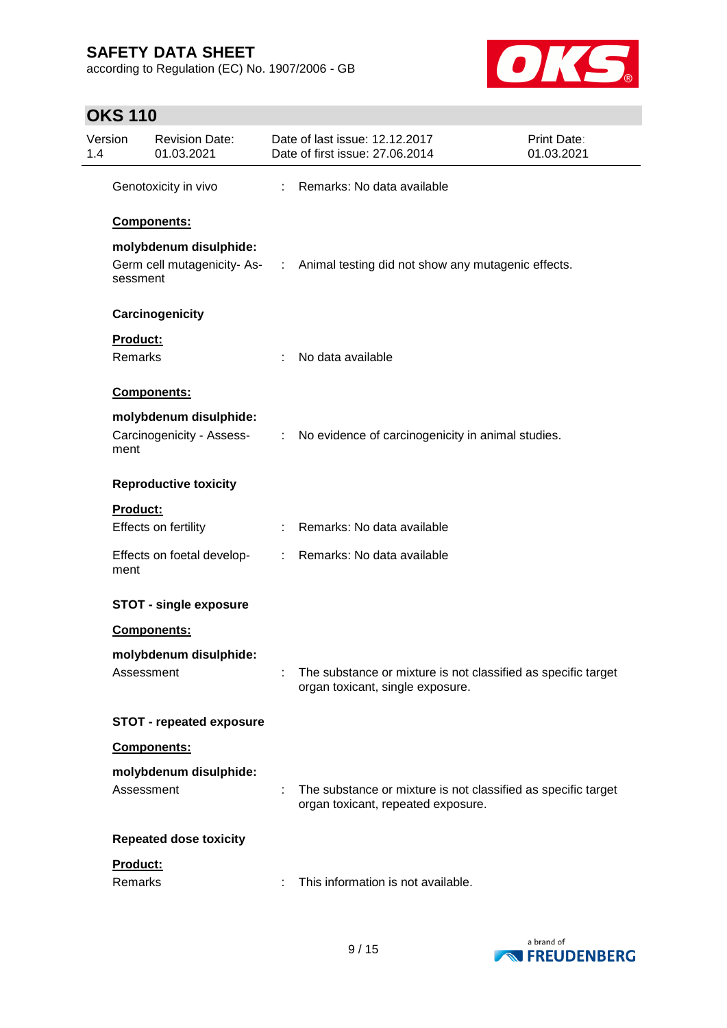according to Regulation (EC) No. 1907/2006 - GB



# **OKS 110**

| Version<br>1.4 |                     | <b>Revision Date:</b><br>01.03.2021  | Date of last issue: 12.12.2017<br>Date of first issue: 27.06.2014                                   | <b>Print Date:</b><br>01.03.2021 |
|----------------|---------------------|--------------------------------------|-----------------------------------------------------------------------------------------------------|----------------------------------|
|                |                     | Genotoxicity in vivo                 | : Remarks: No data available                                                                        |                                  |
|                |                     | Components:                          |                                                                                                     |                                  |
|                | sessment            | molybdenum disulphide:               | Germ cell mutagenicity- As- : Animal testing did not show any mutagenic effects.                    |                                  |
|                |                     | Carcinogenicity                      |                                                                                                     |                                  |
|                | Product:<br>Remarks |                                      | No data available                                                                                   |                                  |
|                |                     | Components:                          |                                                                                                     |                                  |
|                | ment                | molybdenum disulphide:               | Carcinogenicity - Assess- : No evidence of carcinogenicity in animal studies.                       |                                  |
|                |                     | <b>Reproductive toxicity</b>         |                                                                                                     |                                  |
|                | <b>Product:</b>     | Effects on fertility                 | Remarks: No data available                                                                          |                                  |
|                | ment                | Effects on foetal develop-           | : Remarks: No data available                                                                        |                                  |
|                |                     | <b>STOT - single exposure</b>        |                                                                                                     |                                  |
|                |                     | <b>Components:</b>                   |                                                                                                     |                                  |
|                |                     | molybdenum disulphide:<br>Assessment | The substance or mixture is not classified as specific target<br>organ toxicant, single exposure.   |                                  |
|                |                     | <b>STOT - repeated exposure</b>      |                                                                                                     |                                  |
|                | Components:         |                                      |                                                                                                     |                                  |
|                |                     | molybdenum disulphide:<br>Assessment | The substance or mixture is not classified as specific target<br>organ toxicant, repeated exposure. |                                  |
|                |                     | <b>Repeated dose toxicity</b>        |                                                                                                     |                                  |
|                | Product:<br>Remarks |                                      | This information is not available.                                                                  |                                  |

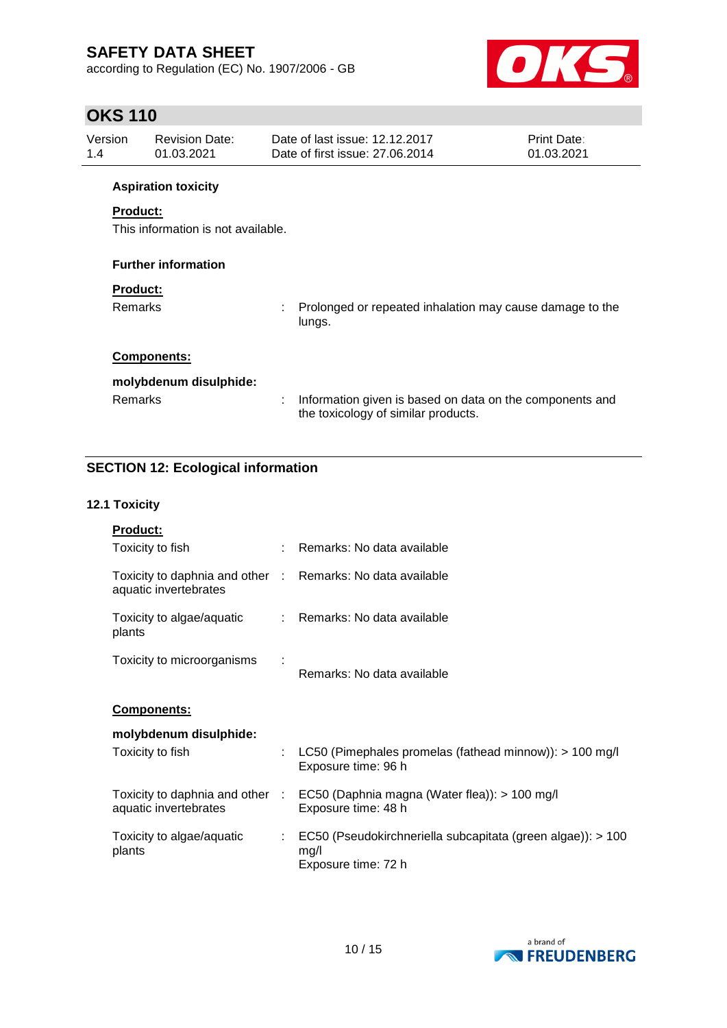according to Regulation (EC) No. 1907/2006 - GB



# **OKS 110**

| Version<br>1.4 |                 | <b>Revision Date:</b><br>01.03.2021 |   | Date of last issue: 12.12.2017<br>Date of first issue: 27.06.2014                               | <b>Print Date:</b><br>01.03.2021 |
|----------------|-----------------|-------------------------------------|---|-------------------------------------------------------------------------------------------------|----------------------------------|
|                |                 | <b>Aspiration toxicity</b>          |   |                                                                                                 |                                  |
|                | <b>Product:</b> | This information is not available.  |   |                                                                                                 |                                  |
|                |                 | <b>Further information</b>          |   |                                                                                                 |                                  |
|                | <b>Product:</b> |                                     |   |                                                                                                 |                                  |
|                | <b>Remarks</b>  |                                     |   | Prolonged or repeated inhalation may cause damage to the<br>lungs.                              |                                  |
|                |                 | <b>Components:</b>                  |   |                                                                                                 |                                  |
|                |                 | molybdenum disulphide:              |   |                                                                                                 |                                  |
|                | <b>Remarks</b>  |                                     | ÷ | Information given is based on data on the components and<br>the toxicology of similar products. |                                  |

# **SECTION 12: Ecological information**

### **12.1 Toxicity**

| Product:                                                                            |    |                                                                                                    |
|-------------------------------------------------------------------------------------|----|----------------------------------------------------------------------------------------------------|
| Toxicity to fish                                                                    |    | : Remarks: No data available                                                                       |
| Toxicity to daphnia and other : Remarks: No data available<br>aquatic invertebrates |    |                                                                                                    |
| Toxicity to algae/aquatic<br>plants                                                 |    | : Remarks: No data available                                                                       |
| Toxicity to microorganisms                                                          |    | Remarks: No data available                                                                         |
| Components:                                                                         |    |                                                                                                    |
| molybdenum disulphide:                                                              |    |                                                                                                    |
| Toxicity to fish                                                                    | ÷. | LC50 (Pimephales promelas (fathead minnow)): $> 100$ mg/l<br>Exposure time: 96 h                   |
| Toxicity to daphnia and other :<br>aquatic invertebrates                            |    | EC50 (Daphnia magna (Water flea)): > 100 mg/l<br>Exposure time: 48 h                               |
| Toxicity to algae/aquatic<br>plants                                                 |    | $\pm$ EC50 (Pseudokirchneriella subcapitata (green algae)): $> 100$<br>mg/l<br>Exposure time: 72 h |

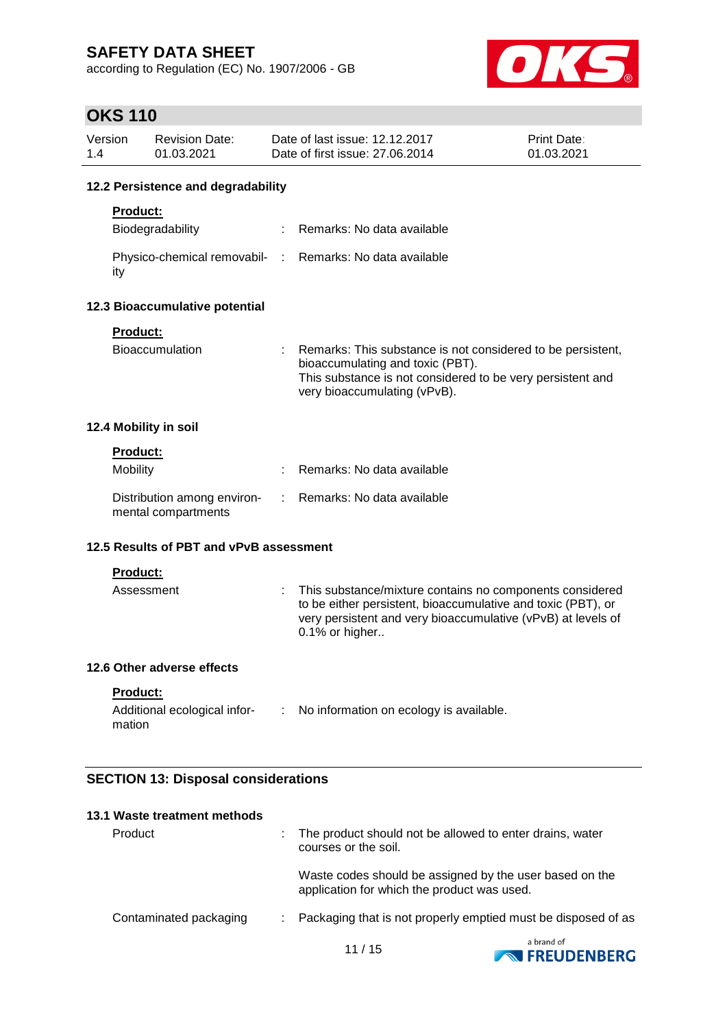according to Regulation (EC) No. 1907/2006 - GB



# **OKS 110**

| Product:<br>ity       | 12.2 Persistence and degradability<br>Biodegradability | ÷ |                                                                                                                                                                                                            |  |
|-----------------------|--------------------------------------------------------|---|------------------------------------------------------------------------------------------------------------------------------------------------------------------------------------------------------------|--|
|                       |                                                        |   |                                                                                                                                                                                                            |  |
|                       |                                                        |   |                                                                                                                                                                                                            |  |
|                       |                                                        |   | Remarks: No data available                                                                                                                                                                                 |  |
|                       |                                                        |   | Physico-chemical removabil- : Remarks: No data available                                                                                                                                                   |  |
|                       | 12.3 Bioaccumulative potential                         |   |                                                                                                                                                                                                            |  |
| <b>Product:</b>       |                                                        |   |                                                                                                                                                                                                            |  |
|                       | Bioaccumulation                                        |   | Remarks: This substance is not considered to be persistent,<br>bioaccumulating and toxic (PBT).<br>This substance is not considered to be very persistent and<br>very bioaccumulating (vPvB).              |  |
| 12.4 Mobility in soil |                                                        |   |                                                                                                                                                                                                            |  |
| <b>Product:</b>       |                                                        |   |                                                                                                                                                                                                            |  |
| Mobility              |                                                        |   | Remarks: No data available                                                                                                                                                                                 |  |
|                       | Distribution among environ-<br>mental compartments     |   | Remarks: No data available                                                                                                                                                                                 |  |
|                       | 12.5 Results of PBT and vPvB assessment                |   |                                                                                                                                                                                                            |  |
| Product:              |                                                        |   |                                                                                                                                                                                                            |  |
| Assessment            |                                                        |   | This substance/mixture contains no components considered<br>to be either persistent, bioaccumulative and toxic (PBT), or<br>very persistent and very bioaccumulative (vPvB) at levels of<br>0.1% or higher |  |
|                       | 12.6 Other adverse effects                             |   |                                                                                                                                                                                                            |  |
| Product:              |                                                        |   |                                                                                                                                                                                                            |  |
| mation                | Additional ecological infor-                           |   | : No information on ecology is available.                                                                                                                                                                  |  |
|                       |                                                        |   |                                                                                                                                                                                                            |  |
|                       | <b>SECTION 13: Disposal considerations</b>             |   |                                                                                                                                                                                                            |  |

| Product                | : The product should not be allowed to enter drains, water<br>courses or the soil.                     |
|------------------------|--------------------------------------------------------------------------------------------------------|
|                        | Waste codes should be assigned by the user based on the<br>application for which the product was used. |
| Contaminated packaging | : Packaging that is not properly emptied must be disposed of as                                        |
|                        | المصامعات                                                                                              |

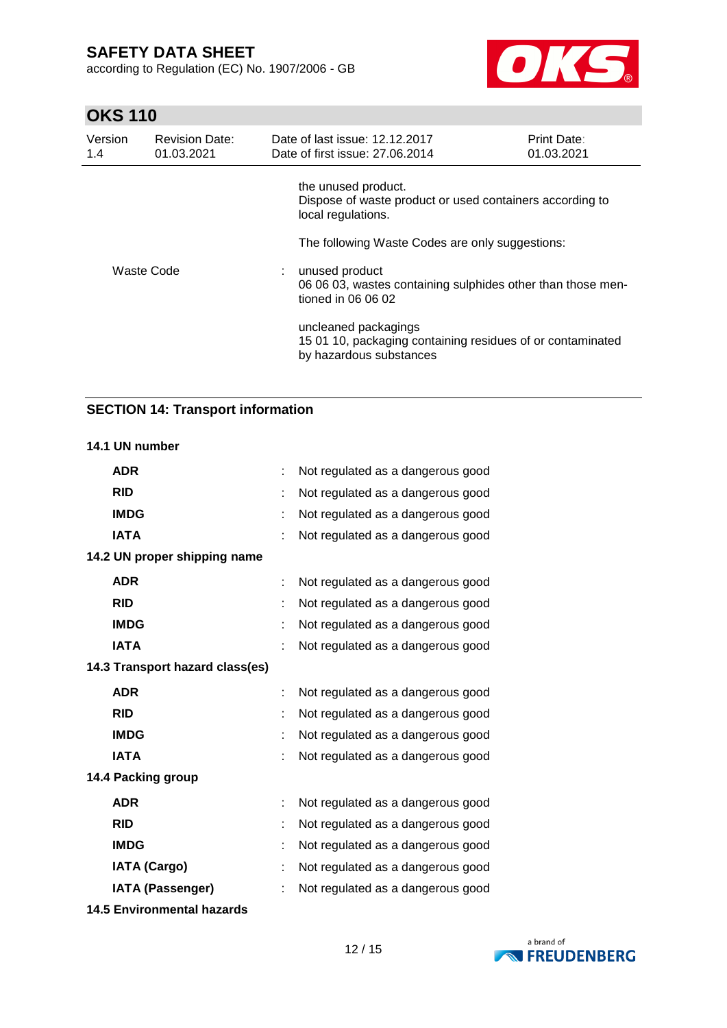according to Regulation (EC) No. 1907/2006 - GB



# **OKS 110**

| Version<br>1.4 | <b>Revision Date:</b><br>01.03.2021 | Date of last issue: 12.12.2017<br>Date of first issue: 27,06,2014                                             | <b>Print Date:</b><br>01.03.2021 |
|----------------|-------------------------------------|---------------------------------------------------------------------------------------------------------------|----------------------------------|
|                |                                     | the unused product.<br>Dispose of waste product or used containers according to<br>local regulations.         |                                  |
|                |                                     | The following Waste Codes are only suggestions:                                                               |                                  |
|                | Waste Code                          | : unused product<br>06 06 03, wastes containing sulphides other than those men-<br>tioned in 06 06 02         |                                  |
|                |                                     | uncleaned packagings<br>15 01 10, packaging containing residues of or contaminated<br>by hazardous substances |                                  |

## **SECTION 14: Transport information**

### **14.1 UN number**

| <b>ADR</b>                        | ÷ | Not regulated as a dangerous good |
|-----------------------------------|---|-----------------------------------|
| <b>RID</b>                        |   | Not regulated as a dangerous good |
| <b>IMDG</b>                       |   | Not regulated as a dangerous good |
| <b>IATA</b>                       |   | Not regulated as a dangerous good |
| 14.2 UN proper shipping name      |   |                                   |
| <b>ADR</b>                        |   | Not regulated as a dangerous good |
| <b>RID</b>                        |   | Not regulated as a dangerous good |
| <b>IMDG</b>                       |   | Not regulated as a dangerous good |
| <b>IATA</b>                       |   | Not regulated as a dangerous good |
| 14.3 Transport hazard class(es)   |   |                                   |
| <b>ADR</b>                        |   | Not regulated as a dangerous good |
| <b>RID</b>                        |   | Not regulated as a dangerous good |
| <b>IMDG</b>                       |   | Not regulated as a dangerous good |
| <b>IATA</b>                       | ÷ | Not regulated as a dangerous good |
| 14.4 Packing group                |   |                                   |
| <b>ADR</b>                        |   | Not regulated as a dangerous good |
| <b>RID</b>                        |   | Not regulated as a dangerous good |
| <b>IMDG</b>                       |   | Not regulated as a dangerous good |
| <b>IATA (Cargo)</b>               |   | Not regulated as a dangerous good |
| <b>IATA (Passenger)</b>           |   | Not regulated as a dangerous good |
| <b>14.5 Environmental hazards</b> |   |                                   |

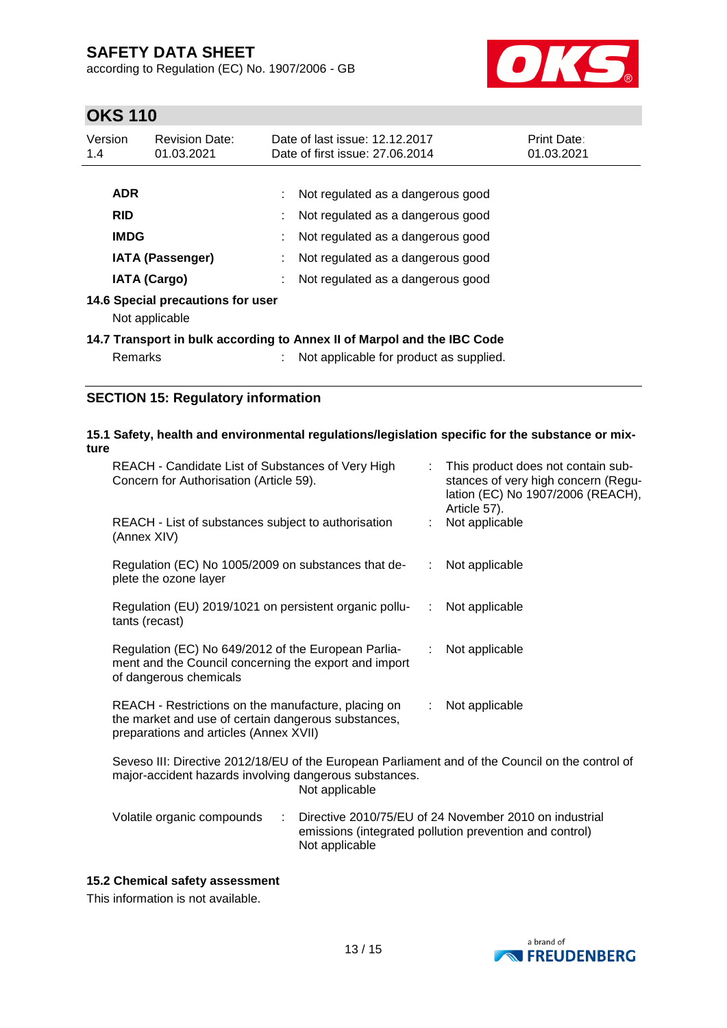according to Regulation (EC) No. 1907/2006 - GB



# **OKS 110**

| Version<br>1.4 | <b>Revision Date:</b><br>01.03.2021                 | Date of last issue: 12.12.2017<br>Date of first issue: 27,06,2014 | <b>Print Date:</b><br>01.03.2021 |
|----------------|-----------------------------------------------------|-------------------------------------------------------------------|----------------------------------|
| <b>ADR</b>     |                                                     | Not regulated as a dangerous good                                 |                                  |
| <b>RID</b>     |                                                     | Not regulated as a dangerous good                                 |                                  |
| <b>IMDG</b>    |                                                     | Not regulated as a dangerous good                                 |                                  |
|                | <b>IATA (Passenger)</b>                             | Not regulated as a dangerous good                                 |                                  |
|                | <b>IATA (Cargo)</b>                                 | Not regulated as a dangerous good                                 |                                  |
|                | 14.6 Special precautions for user<br>Not applicable |                                                                   |                                  |

**14.7 Transport in bulk according to Annex II of Marpol and the IBC Code** Remarks : Not applicable for product as supplied.

### **SECTION 15: Regulatory information**

### **15.1 Safety, health and environmental regulations/legislation specific for the substance or mixture**

| REACH - Candidate List of Substances of Very High<br>Concern for Authorisation (Article 59).                                                         | This product does not contain sub-<br>stances of very high concern (Regu-<br>lation (EC) No 1907/2006 (REACH),<br>Article 57). |  |
|------------------------------------------------------------------------------------------------------------------------------------------------------|--------------------------------------------------------------------------------------------------------------------------------|--|
| REACH - List of substances subject to authorisation<br>(Annex XIV)                                                                                   | Not applicable                                                                                                                 |  |
| Regulation (EC) No 1005/2009 on substances that de-<br>plete the ozone layer                                                                         | Not applicable<br>÷.                                                                                                           |  |
| Regulation (EU) 2019/1021 on persistent organic pollu-<br>tants (recast)                                                                             | Not applicable<br>÷.                                                                                                           |  |
| Regulation (EC) No 649/2012 of the European Parlia-<br>ment and the Council concerning the export and import<br>of dangerous chemicals               | Not applicable                                                                                                                 |  |
| REACH - Restrictions on the manufacture, placing on<br>the market and use of certain dangerous substances,<br>preparations and articles (Annex XVII) | Not applicable<br>÷.                                                                                                           |  |
| Seveso III: Directive 2012/18/EU of the European Parliament and of the Council on the control of                                                     |                                                                                                                                |  |

major-accident hazards involving dangerous substances. Not applicable

| Volatile organic compounds | Directive 2010/75/EU of 24 November 2010 on industrial  |
|----------------------------|---------------------------------------------------------|
|                            | emissions (integrated pollution prevention and control) |
|                            | Not applicable                                          |

### **15.2 Chemical safety assessment**

This information is not available.

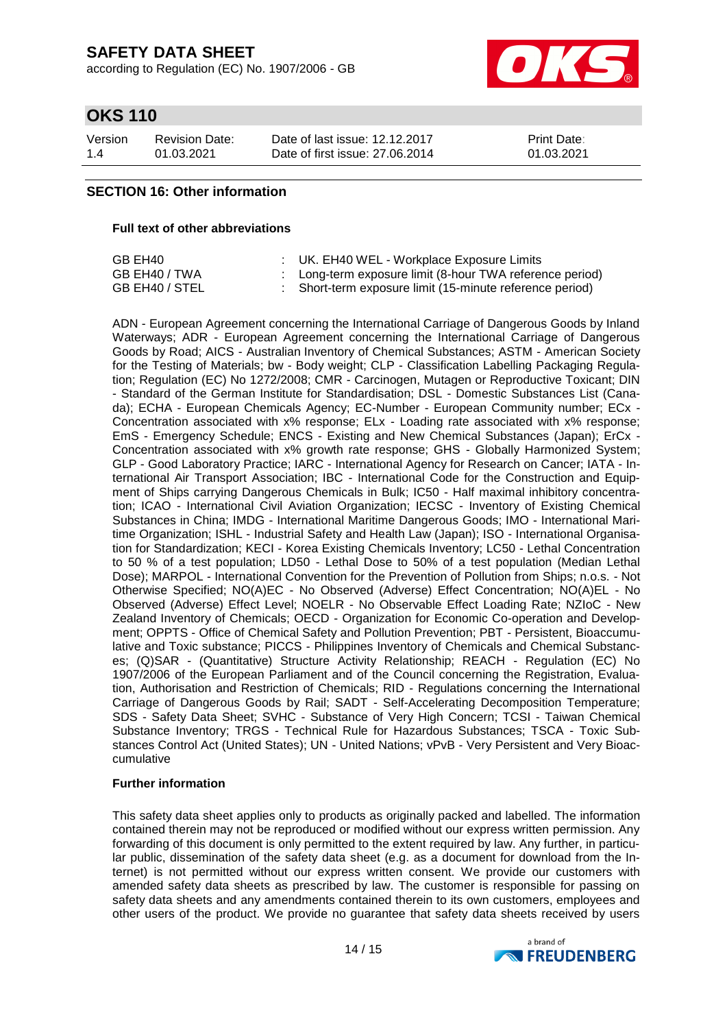according to Regulation (EC) No. 1907/2006 - GB



## **OKS 110**

| Version | <b>Revision Date:</b> | Date of last issue: 12.12.2017  | <b>Print Date:</b> |
|---------|-----------------------|---------------------------------|--------------------|
| 1.4     | 01.03.2021            | Date of first issue: 27,06,2014 | 01.03.2021         |

### **SECTION 16: Other information**

#### **Full text of other abbreviations**

| GB EH40        | : UK. EH40 WEL - Workplace Exposure Limits               |
|----------------|----------------------------------------------------------|
| GB EH40 / TWA  | : Long-term exposure limit (8-hour TWA reference period) |
| GB EH40 / STEL | : Short-term exposure limit (15-minute reference period) |

ADN - European Agreement concerning the International Carriage of Dangerous Goods by Inland Waterways; ADR - European Agreement concerning the International Carriage of Dangerous Goods by Road; AICS - Australian Inventory of Chemical Substances; ASTM - American Society for the Testing of Materials; bw - Body weight; CLP - Classification Labelling Packaging Regulation; Regulation (EC) No 1272/2008; CMR - Carcinogen, Mutagen or Reproductive Toxicant; DIN - Standard of the German Institute for Standardisation; DSL - Domestic Substances List (Canada); ECHA - European Chemicals Agency; EC-Number - European Community number; ECx - Concentration associated with x% response; ELx - Loading rate associated with x% response; EmS - Emergency Schedule; ENCS - Existing and New Chemical Substances (Japan); ErCx - Concentration associated with x% growth rate response; GHS - Globally Harmonized System; GLP - Good Laboratory Practice; IARC - International Agency for Research on Cancer; IATA - International Air Transport Association; IBC - International Code for the Construction and Equipment of Ships carrying Dangerous Chemicals in Bulk; IC50 - Half maximal inhibitory concentration; ICAO - International Civil Aviation Organization; IECSC - Inventory of Existing Chemical Substances in China; IMDG - International Maritime Dangerous Goods; IMO - International Maritime Organization; ISHL - Industrial Safety and Health Law (Japan); ISO - International Organisation for Standardization; KECI - Korea Existing Chemicals Inventory; LC50 - Lethal Concentration to 50 % of a test population; LD50 - Lethal Dose to 50% of a test population (Median Lethal Dose); MARPOL - International Convention for the Prevention of Pollution from Ships; n.o.s. - Not Otherwise Specified; NO(A)EC - No Observed (Adverse) Effect Concentration; NO(A)EL - No Observed (Adverse) Effect Level; NOELR - No Observable Effect Loading Rate; NZIoC - New Zealand Inventory of Chemicals; OECD - Organization for Economic Co-operation and Development; OPPTS - Office of Chemical Safety and Pollution Prevention; PBT - Persistent, Bioaccumulative and Toxic substance; PICCS - Philippines Inventory of Chemicals and Chemical Substances; (Q)SAR - (Quantitative) Structure Activity Relationship; REACH - Regulation (EC) No 1907/2006 of the European Parliament and of the Council concerning the Registration, Evaluation, Authorisation and Restriction of Chemicals; RID - Regulations concerning the International Carriage of Dangerous Goods by Rail; SADT - Self-Accelerating Decomposition Temperature; SDS - Safety Data Sheet; SVHC - Substance of Very High Concern; TCSI - Taiwan Chemical Substance Inventory; TRGS - Technical Rule for Hazardous Substances; TSCA - Toxic Substances Control Act (United States); UN - United Nations; vPvB - Very Persistent and Very Bioaccumulative

### **Further information**

This safety data sheet applies only to products as originally packed and labelled. The information contained therein may not be reproduced or modified without our express written permission. Any forwarding of this document is only permitted to the extent required by law. Any further, in particular public, dissemination of the safety data sheet (e.g. as a document for download from the Internet) is not permitted without our express written consent. We provide our customers with amended safety data sheets as prescribed by law. The customer is responsible for passing on safety data sheets and any amendments contained therein to its own customers, employees and other users of the product. We provide no guarantee that safety data sheets received by users